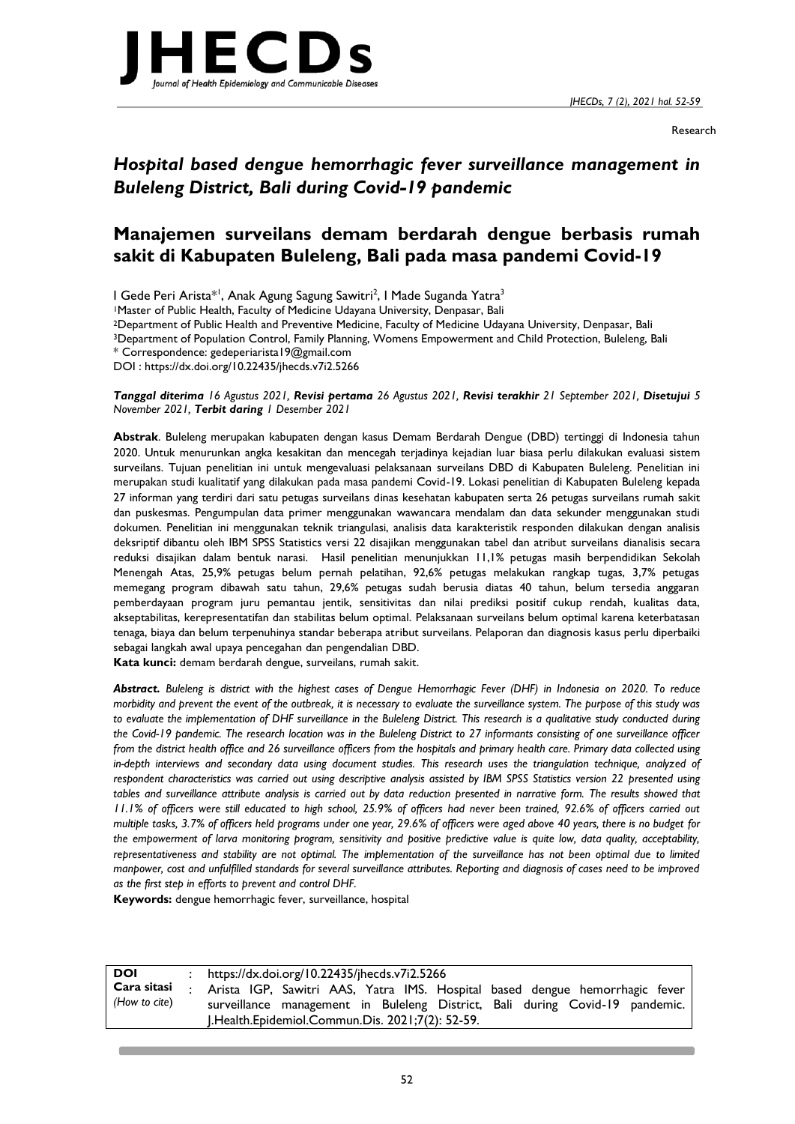*JHECDs, 7 (2), 2021 hal. 52-59*



Research

# *Hospital based dengue hemorrhagic fever surveillance management in Buleleng District, Bali during Covid-19 pandemic*

## **Manajemen surveilans demam berdarah dengue berbasis rumah sakit di Kabupaten Buleleng, Bali pada masa pandemi Covid-19**

I Gede Peri Arista\*<sup>1</sup>, Anak Agung Sagung Sawitri<sup>2</sup>, I Made Suganda Yatra<sup>3</sup>

<sup>1</sup>Master of Public Health, Faculty of Medicine Udayana University, Denpasar, Bali

<sup>2</sup>Department of Public Health and Preventive Medicine, Faculty of Medicine Udayana University, Denpasar, Bali

<sup>3</sup>Department of Population Control, Family Planning, Womens Empowerment and Child Protection, Buleleng, Bali

\* Correspondence: gedeperiarista19@gmail.com

DOI : https://dx.doi.org/10.22435/jhecds.v7i2.5266

*Tanggal diterima 16 Agustus 2021, Revisi pertama 26 Agustus 2021, Revisi terakhir 21 September 2021, Disetujui 5 November 2021, Terbit daring 1 Desember 2021*

**Abstrak**. Buleleng merupakan kabupaten dengan kasus Demam Berdarah Dengue (DBD) tertinggi di Indonesia tahun 2020. Untuk menurunkan angka kesakitan dan mencegah terjadinya kejadian luar biasa perlu dilakukan evaluasi sistem surveilans. Tujuan penelitian ini untuk mengevaluasi pelaksanaan surveilans DBD di Kabupaten Buleleng. Penelitian ini merupakan studi kualitatif yang dilakukan pada masa pandemi Covid-19. Lokasi penelitian di Kabupaten Buleleng kepada 27 informan yang terdiri dari satu petugas surveilans dinas kesehatan kabupaten serta 26 petugas surveilans rumah sakit dan puskesmas. Pengumpulan data primer menggunakan wawancara mendalam dan data sekunder menggunakan studi dokumen. Penelitian ini menggunakan teknik triangulasi, analisis data karakteristik responden dilakukan dengan analisis deksriptif dibantu oleh IBM SPSS Statistics versi 22 disajikan menggunakan tabel dan atribut surveilans dianalisis secara reduksi disajikan dalam bentuk narasi. Hasil penelitian menunjukkan 11,1% petugas masih berpendidikan Sekolah Menengah Atas, 25,9% petugas belum pernah pelatihan, 92,6% petugas melakukan rangkap tugas, 3,7% petugas memegang program dibawah satu tahun, 29,6% petugas sudah berusia diatas 40 tahun, belum tersedia anggaran pemberdayaan program juru pemantau jentik, sensitivitas dan nilai prediksi positif cukup rendah, kualitas data, akseptabilitas, kerepresentatifan dan stabilitas belum optimal. Pelaksanaan surveilans belum optimal karena keterbatasan tenaga, biaya dan belum terpenuhinya standar beberapa atribut surveilans. Pelaporan dan diagnosis kasus perlu diperbaiki sebagai langkah awal upaya pencegahan dan pengendalian DBD.

**Kata kunci:** demam berdarah dengue, surveilans, rumah sakit.

*Abstract. Buleleng is district with the highest cases of Dengue Hemorrhagic Fever (DHF) in Indonesia on 2020. To reduce morbidity and prevent the event of the outbreak, it is necessary to evaluate the surveillance system. The purpose of this study was*  to evaluate the implementation of DHF surveillance in the Buleleng District. This research is a qualitative study conducted during *the Covid-19 pandemic. The research location was in the Buleleng District to 27 informants consisting of one surveillance officer from the district health office and 26 surveillance officers from the hospitals and primary health care. Primary data collected using* in-depth interviews and secondary data using document studies. This research uses the triangulation technique, analyzed of *respondent characteristics was carried out using descriptive analysis assisted by IBM SPSS Statistics version 22 presented using tables and surveillance attribute analysis is carried out by data reduction presented in narrative form. The results showed that 11.1% of officers were still educated to high school, 25.9% of officers had never been trained, 92.6% of officers carried out multiple tasks, 3.7% of officers held programs under one year, 29.6% of officers were aged above 40 years, there is no budget for the empowerment of larva monitoring program, sensitivity and positive predictive value is quite low, data quality, acceptability, representativeness and stability are not optimal. The implementation of the surveillance has not been optimal due to limited manpower, cost and unfulfilled standards for several surveillance attributes. Reporting and diagnosis of cases need to be improved as the first step in efforts to prevent and control DHF.*

**Keywords:** dengue hemorrhagic fever, surveillance, hospital

| <b>DOI</b>                   | https://dx.doi.org/10.22435/jhecds.v7i2.5266                                                                                                                |
|------------------------------|-------------------------------------------------------------------------------------------------------------------------------------------------------------|
| Cara sitasi<br>(How to cite) | Arista IGP, Sawitri AAS, Yatra IMS. Hospital based dengue hemorrhagic fever<br>surveillance management in Buleleng District, Bali during Covid-19 pandemic. |
|                              | J.Health.Epidemiol.Commun.Dis. 2021;7(2): 52-59.                                                                                                            |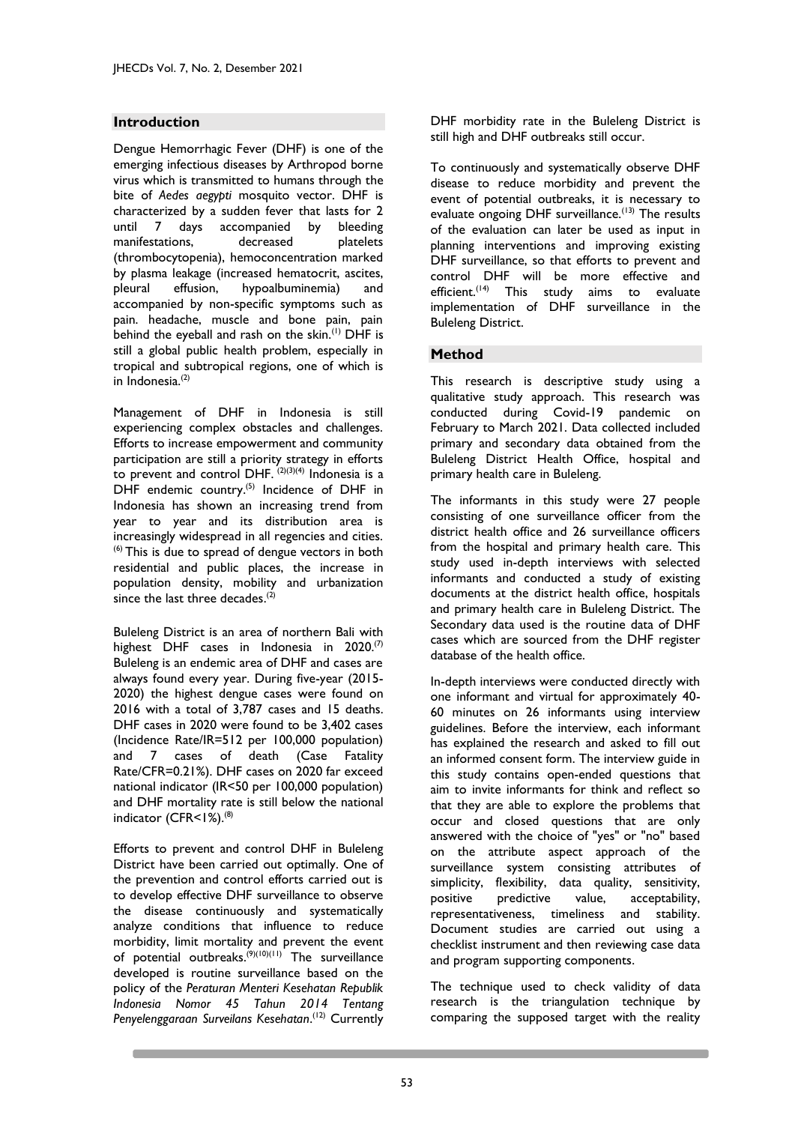## **Introduction**

Dengue Hemorrhagic Fever (DHF) is one of the emerging infectious diseases by Arthropod borne virus which is transmitted to humans through the bite of *Aedes aegypti* mosquito vector. DHF is characterized by a sudden fever that lasts for 2 until 7 days accompanied by bleeding manifestations, decreased platelets (thrombocytopenia), hemoconcentration marked by plasma leakage (increased hematocrit, ascites, pleural effusion, hypoalbuminemia) and accompanied by non-specific symptoms such as pain. headache, muscle and bone pain, pain behind the eyeball and rash on the skin.<sup>(1)</sup> DHF is still a global public health problem, especially in tropical and subtropical regions, one of which is in Indonesia.<sup>(2)</sup>

Management of DHF in Indonesia is still experiencing complex obstacles and challenges. Efforts to increase empowerment and community participation are still a priority strategy in efforts to prevent and control DHF.  $(2)(3)(4)$  Indonesia is a DHF endemic country. $^{(5)}$  Incidence of DHF in Indonesia has shown an increasing trend from year to year and its distribution area is increasingly widespread in all regencies and cities.  $<sup>(6)</sup>$  This is due to spread of dengue vectors in both</sup> residential and public places, the increase in population density, mobility and urbanization since the last three decades.<sup>(2)</sup>

Buleleng District is an area of northern Bali with highest DHF cases in Indonesia in  $2020^{(7)}$ Buleleng is an endemic area of DHF and cases are always found every year. During five-year (2015- 2020) the highest dengue cases were found on 2016 with a total of 3,787 cases and 15 deaths. DHF cases in 2020 were found to be 3,402 cases (Incidence Rate/IR=512 per 100,000 population) and 7 cases of death (Case Fatality Rate/CFR=0.21%). DHF cases on 2020 far exceed national indicator (IR<50 per 100,000 population) and DHF mortality rate is still below the national indicator (CFR<1%).<sup>(8)</sup>

Efforts to prevent and control DHF in Buleleng District have been carried out optimally. One of the prevention and control efforts carried out is to develop effective DHF surveillance to observe the disease continuously and systematically analyze conditions that influence to reduce morbidity, limit mortality and prevent the event of potential outbreaks.<sup>(9)(10)(11)</sup> The surveillance developed is routine surveillance based on the policy of the *Peraturan Menteri Kesehatan Republik Indonesia Nomor 45 Tahun 2014 Tentang Penyelenggaraan Surveilans Kesehatan*. (12) Currently

DHF morbidity rate in the Buleleng District is still high and DHF outbreaks still occur.

To continuously and systematically observe DHF disease to reduce morbidity and prevent the event of potential outbreaks, it is necessary to evaluate ongoing DHF surveillance.<sup>(13)</sup> The results of the evaluation can later be used as input in planning interventions and improving existing DHF surveillance, so that efforts to prevent and control DHF will be more effective and efficient.<sup>(14)</sup> This study aims to evaluate implementation of DHF surveillance in the Buleleng District.

## **Method**

This research is descriptive study using a qualitative study approach. This research was conducted during Covid-19 pandemic on February to March 2021. Data collected included primary and secondary data obtained from the Buleleng District Health Office, hospital and primary health care in Buleleng.

The informants in this study were 27 people consisting of one surveillance officer from the district health office and 26 surveillance officers from the hospital and primary health care. This study used in-depth interviews with selected informants and conducted a study of existing documents at the district health office, hospitals and primary health care in Buleleng District. The Secondary data used is the routine data of DHF cases which are sourced from the DHF register database of the health office.

In-depth interviews were conducted directly with one informant and virtual for approximately 40- 60 minutes on 26 informants using interview guidelines. Before the interview, each informant has explained the research and asked to fill out an informed consent form. The interview guide in this study contains open-ended questions that aim to invite informants for think and reflect so that they are able to explore the problems that occur and closed questions that are only answered with the choice of "yes" or "no" based on the attribute aspect approach of the surveillance system consisting attributes of simplicity, flexibility, data quality, sensitivity, positive predictive value, acceptability, representativeness, timeliness and stability. Document studies are carried out using a checklist instrument and then reviewing case data and program supporting components.

The technique used to check validity of data research is the triangulation technique by comparing the supposed target with the reality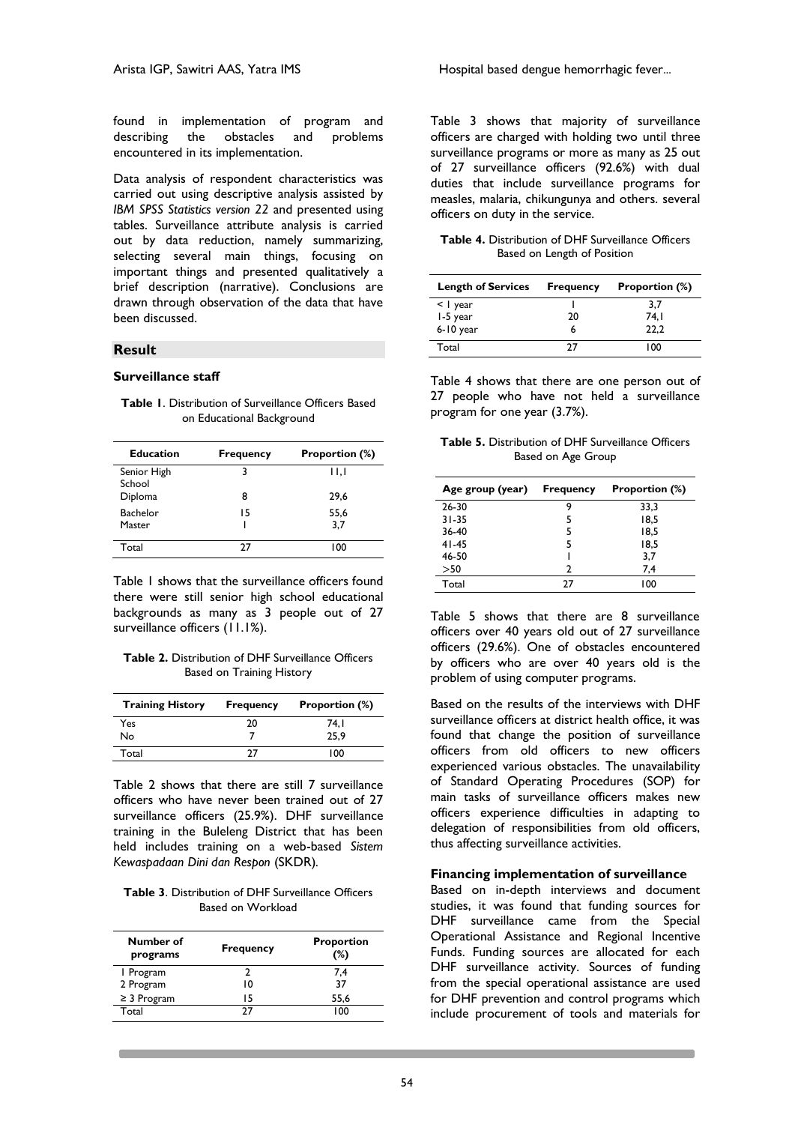found in implementation of program and describing the obstacles and problems encountered in its implementation.

Data analysis of respondent characteristics was carried out using descriptive analysis assisted by *IBM SPSS Statistics version 22* and presented using tables. Surveillance attribute analysis is carried out by data reduction, namely summarizing, selecting several main things, focusing on important things and presented qualitatively a brief description (narrative). Conclusions are drawn through observation of the data that have been discussed.

#### **Result**

#### **Surveillance staff**

| <b>Table I.</b> Distribution of Surveillance Officers Based |  |
|-------------------------------------------------------------|--|
| on Educational Background                                   |  |

| Education             | <b>Frequency</b> | <b>Proportion (%)</b>    |
|-----------------------|------------------|--------------------------|
| Senior High<br>School | 3                | $\mathsf{H}, \mathsf{I}$ |
| Diploma               | 8                | 29.6                     |
| Bachelor              | 15               | 55,6                     |
| Master                |                  | 3.7                      |
| Total                 | 27               | 100                      |

Table 1 shows that the surveillance officers found there were still senior high school educational backgrounds as many as 3 people out of 27 surveillance officers (11.1%).

**Table 2.** Distribution of DHF Surveillance Officers Based on Training History

| <b>Training History</b> | <b>Frequency</b> | <b>Proportion (%)</b> |
|-------------------------|------------------|-----------------------|
| Yes                     | 20               | 74. I                 |
| No                      |                  | 25.9                  |
| Total                   | דר               | 100                   |

Table 2 shows that there are still 7 surveillance officers who have never been trained out of 27 surveillance officers (25.9%). DHF surveillance training in the Buleleng District that has been held includes training on a web-based *Sistem Kewaspadaan Dini dan Respon* (SKDR)*.*

**Table 3**. Distribution of DHF Surveillance Officers Based on Workload

| Number of<br>programs | <b>Frequency</b> | <b>Proportion</b><br>(%) |
|-----------------------|------------------|--------------------------|
| 1 Program             |                  | 7,4                      |
| 2 Program             | 10               | 37                       |
| $\geq$ 3 Program      | 15               | 55,6                     |
| Total                 | 77               | 100                      |

Table 3 shows that majority of surveillance officers are charged with holding two until three surveillance programs or more as many as 25 out of 27 surveillance officers (92.6%) with dual duties that include surveillance programs for measles, malaria, chikungunya and others. several officers on duty in the service.

**Table 4.** Distribution of DHF Surveillance Officers Based on Length of Position

| <b>Length of Services</b> | <b>Frequency</b> | <b>Proportion (%)</b> |
|---------------------------|------------------|-----------------------|
| $\leq$   year             |                  | 3.7                   |
| I-5 year                  | 20               | 74. I                 |
| 6-10 year                 |                  | 22.2                  |
| Total                     |                  | 100                   |

Table 4 shows that there are one person out of 27 people who have not held a surveillance program for one year (3.7%).

**Table 5.** Distribution of DHF Surveillance Officers Based on Age Group

| Age group (year) | <b>Frequency</b> | Proportion (%) |
|------------------|------------------|----------------|
| 26-30            | q                | 33,3           |
| $31 - 35$        |                  | 18,5           |
| 36-40            | 5                | 18,5           |
| $41 - 45$        | 5                | 18.5           |
| 46-50            |                  | 3.7            |
| >50              |                  | 7,4            |
| Total            | 77               | 100            |

Table 5 shows that there are 8 surveillance officers over 40 years old out of 27 surveillance officers (29.6%). One of obstacles encountered by officers who are over 40 years old is the problem of using computer programs.

Based on the results of the interviews with DHF surveillance officers at district health office, it was found that change the position of surveillance officers from old officers to new officers experienced various obstacles. The unavailability of Standard Operating Procedures (SOP) for main tasks of surveillance officers makes new officers experience difficulties in adapting to delegation of responsibilities from old officers, thus affecting surveillance activities.

#### **Financing implementation of surveillance**

Based on in-depth interviews and document studies, it was found that funding sources for DHF surveillance came from the Special Operational Assistance and Regional Incentive Funds. Funding sources are allocated for each DHF surveillance activity. Sources of funding from the special operational assistance are used for DHF prevention and control programs which include procurement of tools and materials for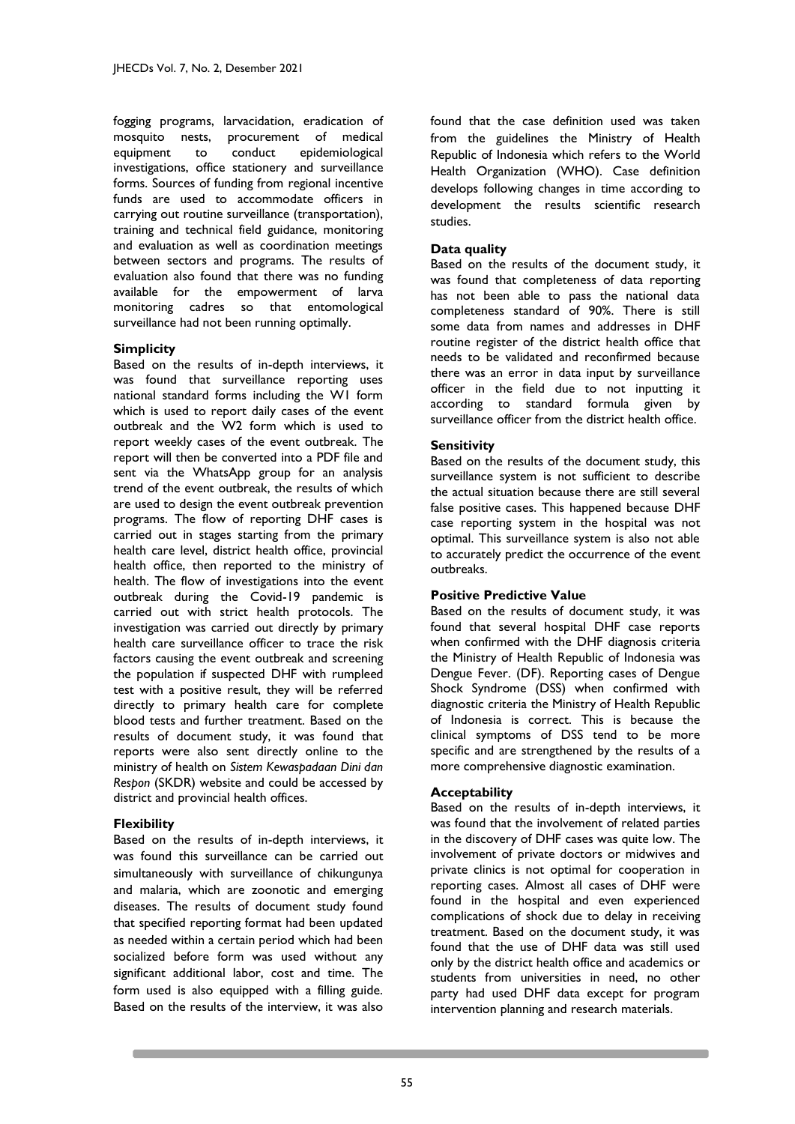fogging programs, larvacidation, eradication of mosquito nests, procurement of medical equipment to conduct epidemiological investigations, office stationery and surveillance forms. Sources of funding from regional incentive funds are used to accommodate officers in carrying out routine surveillance (transportation), training and technical field guidance, monitoring and evaluation as well as coordination meetings between sectors and programs. The results of evaluation also found that there was no funding available for the empowerment of larva monitoring cadres so that entomological surveillance had not been running optimally.

## **Simplicity**

Based on the results of in-depth interviews, it was found that surveillance reporting uses national standard forms including the W1 form which is used to report daily cases of the event outbreak and the W2 form which is used to report weekly cases of the event outbreak. The report will then be converted into a PDF file and sent via the WhatsApp group for an analysis trend of the event outbreak, the results of which are used to design the event outbreak prevention programs. The flow of reporting DHF cases is carried out in stages starting from the primary health care level, district health office, provincial health office, then reported to the ministry of health. The flow of investigations into the event outbreak during the Covid-19 pandemic is carried out with strict health protocols. The investigation was carried out directly by primary health care surveillance officer to trace the risk factors causing the event outbreak and screening the population if suspected DHF with rumpleed test with a positive result, they will be referred directly to primary health care for complete blood tests and further treatment. Based on the results of document study, it was found that reports were also sent directly online to the ministry of health on *Sistem Kewaspadaan Dini dan Respon* (SKDR) website and could be accessed by district and provincial health offices.

#### **Flexibility**

Based on the results of in-depth interviews, it was found this surveillance can be carried out simultaneously with surveillance of chikungunya and malaria, which are zoonotic and emerging diseases. The results of document study found that specified reporting format had been updated as needed within a certain period which had been socialized before form was used without any significant additional labor, cost and time. The form used is also equipped with a filling guide. Based on the results of the interview, it was also

found that the case definition used was taken from the guidelines the Ministry of Health Republic of Indonesia which refers to the World Health Organization (WHO). Case definition develops following changes in time according to development the results scientific research studies.

## **Data quality**

Based on the results of the document study, it was found that completeness of data reporting has not been able to pass the national data completeness standard of 90%. There is still some data from names and addresses in DHF routine register of the district health office that needs to be validated and reconfirmed because there was an error in data input by surveillance officer in the field due to not inputting it according to standard formula given by surveillance officer from the district health office.

## **Sensitivity**

Based on the results of the document study, this surveillance system is not sufficient to describe the actual situation because there are still several false positive cases. This happened because DHF case reporting system in the hospital was not optimal. This surveillance system is also not able to accurately predict the occurrence of the event outbreaks.

#### **Positive Predictive Value**

Based on the results of document study, it was found that several hospital DHF case reports when confirmed with the DHF diagnosis criteria the Ministry of Health Republic of Indonesia was Dengue Fever. (DF). Reporting cases of Dengue Shock Syndrome (DSS) when confirmed with diagnostic criteria the Ministry of Health Republic of Indonesia is correct. This is because the clinical symptoms of DSS tend to be more specific and are strengthened by the results of a more comprehensive diagnostic examination.

#### **Acceptability**

Based on the results of in-depth interviews, it was found that the involvement of related parties in the discovery of DHF cases was quite low. The involvement of private doctors or midwives and private clinics is not optimal for cooperation in reporting cases. Almost all cases of DHF were found in the hospital and even experienced complications of shock due to delay in receiving treatment. Based on the document study, it was found that the use of DHF data was still used only by the district health office and academics or students from universities in need, no other party had used DHF data except for program intervention planning and research materials.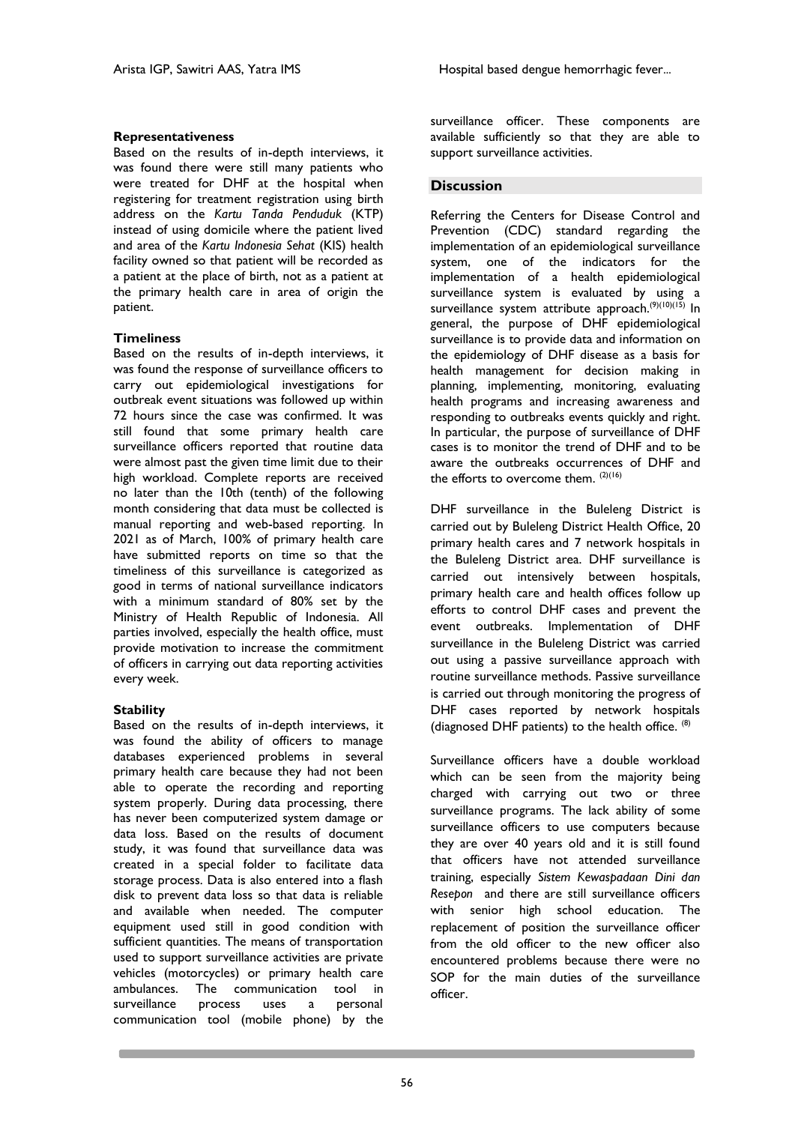## **Representativeness**

Based on the results of in-depth interviews, it was found there were still many patients who were treated for DHF at the hospital when registering for treatment registration using birth address on the *Kartu Tanda Penduduk* (KTP) instead of using domicile where the patient lived and area of the *Kartu Indonesia Sehat* (KIS) health facility owned so that patient will be recorded as a patient at the place of birth, not as a patient at the primary health care in area of origin the patient.

## **Timeliness**

Based on the results of in-depth interviews, it was found the response of surveillance officers to carry out epidemiological investigations for outbreak event situations was followed up within 72 hours since the case was confirmed. It was still found that some primary health care surveillance officers reported that routine data were almost past the given time limit due to their high workload. Complete reports are received no later than the 10th (tenth) of the following month considering that data must be collected is manual reporting and web-based reporting. In 2021 as of March, 100% of primary health care have submitted reports on time so that the timeliness of this surveillance is categorized as good in terms of national surveillance indicators with a minimum standard of 80% set by the Ministry of Health Republic of Indonesia. All parties involved, especially the health office, must provide motivation to increase the commitment of officers in carrying out data reporting activities every week.

## **Stability**

Based on the results of in-depth interviews, it was found the ability of officers to manage databases experienced problems in several primary health care because they had not been able to operate the recording and reporting system properly. During data processing, there has never been computerized system damage or data loss. Based on the results of document study, it was found that surveillance data was created in a special folder to facilitate data storage process. Data is also entered into a flash disk to prevent data loss so that data is reliable and available when needed. The computer equipment used still in good condition with sufficient quantities. The means of transportation used to support surveillance activities are private vehicles (motorcycles) or primary health care ambulances. The communication tool in surveillance process uses a personal communication tool (mobile phone) by the

surveillance officer. These components are available sufficiently so that they are able to support surveillance activities.

## **Discussion**

Referring the Centers for Disease Control and Prevention (CDC) standard regarding the implementation of an epidemiological surveillance system, one of the indicators for the implementation of a health epidemiological surveillance system is evaluated by using a surveillance system attribute approach.<sup>(9)(10)(15)</sup> In general, the purpose of DHF epidemiological surveillance is to provide data and information on the epidemiology of DHF disease as a basis for health management for decision making in planning, implementing, monitoring, evaluating health programs and increasing awareness and responding to outbreaks events quickly and right. In particular, the purpose of surveillance of DHF cases is to monitor the trend of DHF and to be aware the outbreaks occurrences of DHF and the efforts to overcome them.  $(2)(16)$ 

DHF surveillance in the Buleleng District is carried out by Buleleng District Health Office, 20 primary health cares and 7 network hospitals in the Buleleng District area. DHF surveillance is carried out intensively between hospitals, primary health care and health offices follow up efforts to control DHF cases and prevent the event outbreaks. Implementation of DHF surveillance in the Buleleng District was carried out using a passive surveillance approach with routine surveillance methods. Passive surveillance is carried out through monitoring the progress of DHF cases reported by network hospitals (diagnosed DHF patients) to the health office.  $(8)$ 

Surveillance officers have a double workload which can be seen from the majority being charged with carrying out two or three surveillance programs. The lack ability of some surveillance officers to use computers because they are over 40 years old and it is still found that officers have not attended surveillance training, especially *Sistem Kewaspadaan Dini dan Resepon* and there are still surveillance officers with senior high school education. The replacement of position the surveillance officer from the old officer to the new officer also encountered problems because there were no SOP for the main duties of the surveillance officer.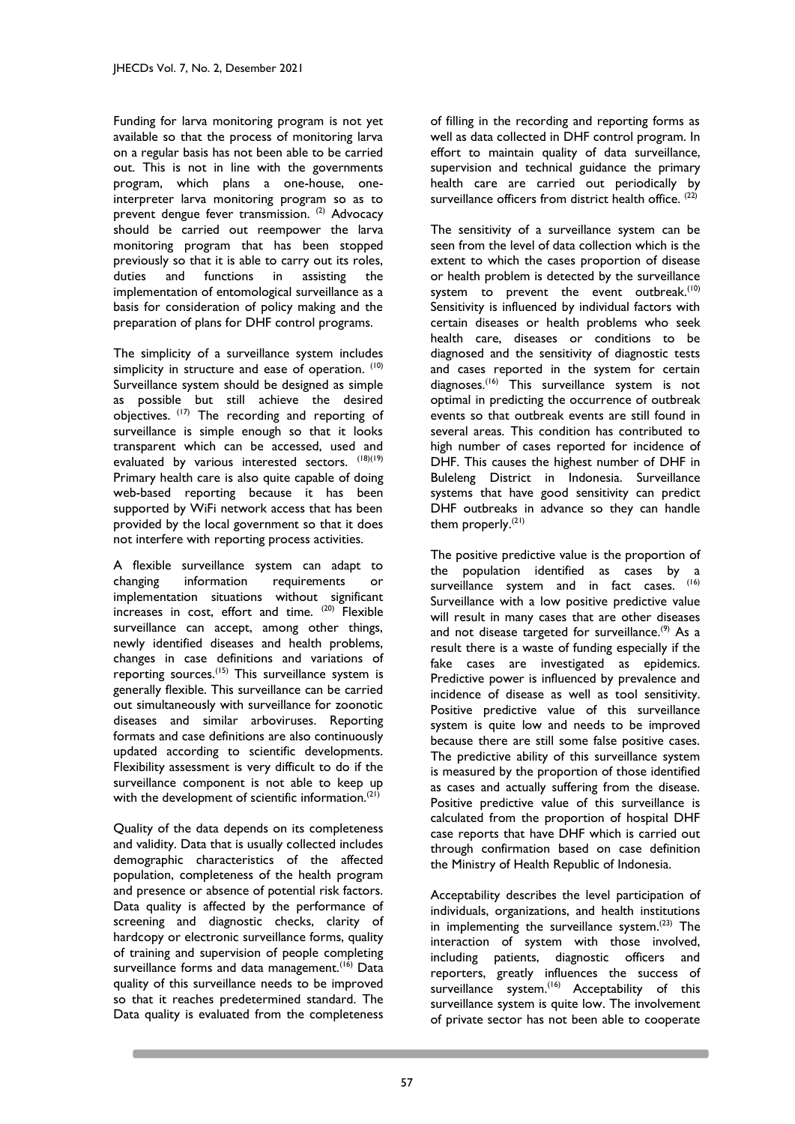Funding for larva monitoring program is not yet available so that the process of monitoring larva on a regular basis has not been able to be carried out. This is not in line with the governments program, which plans a one-house, oneinterpreter larva monitoring program so as to prevent dengue fever transmission. <sup>(2)</sup> Advocacy should be carried out reempower the larva monitoring program that has been stopped previously so that it is able to carry out its roles, duties and functions in assisting the implementation of entomological surveillance as a basis for consideration of policy making and the preparation of plans for DHF control programs.

The simplicity of a surveillance system includes simplicity in structure and ease of operation. (10) Surveillance system should be designed as simple as possible but still achieve the desired objectives. (17) The recording and reporting of surveillance is simple enough so that it looks transparent which can be accessed, used and evaluated by various interested sectors. (18)(19) Primary health care is also quite capable of doing web-based reporting because it has been supported by WiFi network access that has been provided by the local government so that it does not interfere with reporting process activities.

A flexible surveillance system can adapt to changing information requirements or implementation situations without significant increases in cost, effort and time.  $(20)$  Flexible surveillance can accept, among other things, newly identified diseases and health problems, changes in case definitions and variations of reporting sources.<sup>(15)</sup> This surveillance system is generally flexible. This surveillance can be carried out simultaneously with surveillance for zoonotic diseases and similar arboviruses. Reporting formats and case definitions are also continuously updated according to scientific developments. Flexibility assessment is very difficult to do if the surveillance component is not able to keep up with the development of scientific information.<sup>(21)</sup>

Quality of the data depends on its completeness and validity. Data that is usually collected includes demographic characteristics of the affected population, completeness of the health program and presence or absence of potential risk factors. Data quality is affected by the performance of screening and diagnostic checks, clarity of hardcopy or electronic surveillance forms, quality of training and supervision of people completing surveillance forms and data management.<sup>(16)</sup> Data quality of this surveillance needs to be improved so that it reaches predetermined standard. The Data quality is evaluated from the completeness

of filling in the recording and reporting forms as well as data collected in DHF control program. In effort to maintain quality of data surveillance, supervision and technical guidance the primary health care are carried out periodically by surveillance officers from district health office. (22)

The sensitivity of a surveillance system can be seen from the level of data collection which is the extent to which the cases proportion of disease or health problem is detected by the surveillance system to prevent the event outbreak.<sup>(10)</sup> Sensitivity is influenced by individual factors with certain diseases or health problems who seek health care, diseases or conditions to be diagnosed and the sensitivity of diagnostic tests and cases reported in the system for certain diagnoses.(16) This surveillance system is not optimal in predicting the occurrence of outbreak events so that outbreak events are still found in several areas. This condition has contributed to high number of cases reported for incidence of DHF. This causes the highest number of DHF in Buleleng District in Indonesia. Surveillance systems that have good sensitivity can predict DHF outbreaks in advance so they can handle them properly.(21)

The positive predictive value is the proportion of the population identified as cases by a surveillance system and in fact cases. (16) Surveillance with a low positive predictive value will result in many cases that are other diseases and not disease targeted for surveillance.<sup>(9)</sup> As a result there is a waste of funding especially if the fake cases are investigated as epidemics. Predictive power is influenced by prevalence and incidence of disease as well as tool sensitivity. Positive predictive value of this surveillance system is quite low and needs to be improved because there are still some false positive cases. The predictive ability of this surveillance system is measured by the proportion of those identified as cases and actually suffering from the disease. Positive predictive value of this surveillance is calculated from the proportion of hospital DHF case reports that have DHF which is carried out through confirmation based on case definition the Ministry of Health Republic of Indonesia.

Acceptability describes the level participation of individuals, organizations, and health institutions in implementing the surveillance system. $(23)$  The interaction of system with those involved, including patients, diagnostic officers and reporters, greatly influences the success of surveillance system.<sup>(16)</sup> Acceptability of this surveillance system is quite low. The involvement of private sector has not been able to cooperate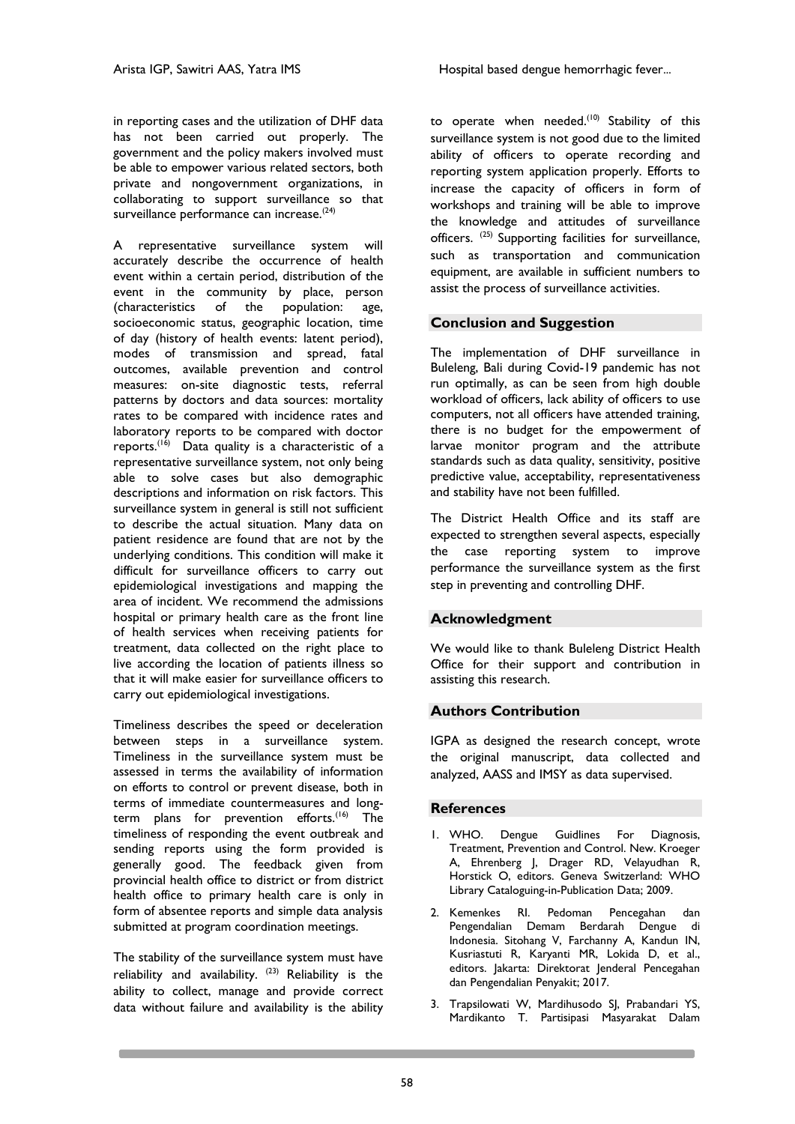in reporting cases and the utilization of DHF data has not been carried out properly. The government and the policy makers involved must be able to empower various related sectors, both private and nongovernment organizations, in collaborating to support surveillance so that surveillance performance can increase.<sup>(24)</sup>

A representative surveillance system will accurately describe the occurrence of health event within a certain period, distribution of the event in the community by place, person (characteristics of the population: age, socioeconomic status, geographic location, time of day (history of health events: latent period), modes of transmission and spread, fatal outcomes, available prevention and control measures: on-site diagnostic tests, referral patterns by doctors and data sources: mortality rates to be compared with incidence rates and laboratory reports to be compared with doctor reports.<sup>(16)</sup> Data quality is a characteristic of a representative surveillance system, not only being able to solve cases but also demographic descriptions and information on risk factors. This surveillance system in general is still not sufficient to describe the actual situation. Many data on patient residence are found that are not by the underlying conditions. This condition will make it difficult for surveillance officers to carry out epidemiological investigations and mapping the area of incident. We recommend the admissions hospital or primary health care as the front line of health services when receiving patients for treatment, data collected on the right place to live according the location of patients illness so that it will make easier for surveillance officers to carry out epidemiological investigations.

Timeliness describes the speed or deceleration between steps in a surveillance system. Timeliness in the surveillance system must be assessed in terms the availability of information on efforts to control or prevent disease, both in terms of immediate countermeasures and longterm plans for prevention efforts.<sup>(16)</sup> The timeliness of responding the event outbreak and sending reports using the form provided is generally good. The feedback given from provincial health office to district or from district health office to primary health care is only in form of absentee reports and simple data analysis submitted at program coordination meetings.

The stability of the surveillance system must have reliability and availability.  $(23)$  Reliability is the ability to collect, manage and provide correct data without failure and availability is the ability

to operate when needed. $(10)$  Stability of this surveillance system is not good due to the limited ability of officers to operate recording and reporting system application properly. Efforts to increase the capacity of officers in form of workshops and training will be able to improve the knowledge and attitudes of surveillance officers. (25) Supporting facilities for surveillance, such as transportation and communication equipment, are available in sufficient numbers to assist the process of surveillance activities.

## **Conclusion and Suggestion**

The implementation of DHF surveillance in Buleleng, Bali during Covid-19 pandemic has not run optimally, as can be seen from high double workload of officers, lack ability of officers to use computers, not all officers have attended training, there is no budget for the empowerment of larvae monitor program and the attribute standards such as data quality, sensitivity, positive predictive value, acceptability, representativeness and stability have not been fulfilled.

The District Health Office and its staff are expected to strengthen several aspects, especially the case reporting system to improve performance the surveillance system as the first step in preventing and controlling DHF.

## **Acknowledgment**

We would like to thank Buleleng District Health Office for their support and contribution in assisting this research.

## **Authors Contribution**

IGPA as designed the research concept, wrote the original manuscript, data collected and analyzed, AASS and IMSY as data supervised.

#### **References**

- 1. WHO. Dengue Guidlines For Diagnosis, Treatment, Prevention and Control. New. Kroeger A, Ehrenberg J, Drager RD, Velayudhan R, Horstick O, editors. Geneva Switzerland: WHO Library Cataloguing-in-Publication Data; 2009.
- 2. Kemenkes RI. Pedoman Pencegahan dan Pengendalian Demam Berdarah Dengue di Indonesia. Sitohang V, Farchanny A, Kandun IN, Kusriastuti R, Karyanti MR, Lokida D, et al., editors. Jakarta: Direktorat Jenderal Pencegahan dan Pengendalian Penyakit; 2017.
- 3. Trapsilowati W, Mardihusodo SJ, Prabandari YS, Mardikanto T. Partisipasi Masyarakat Dalam